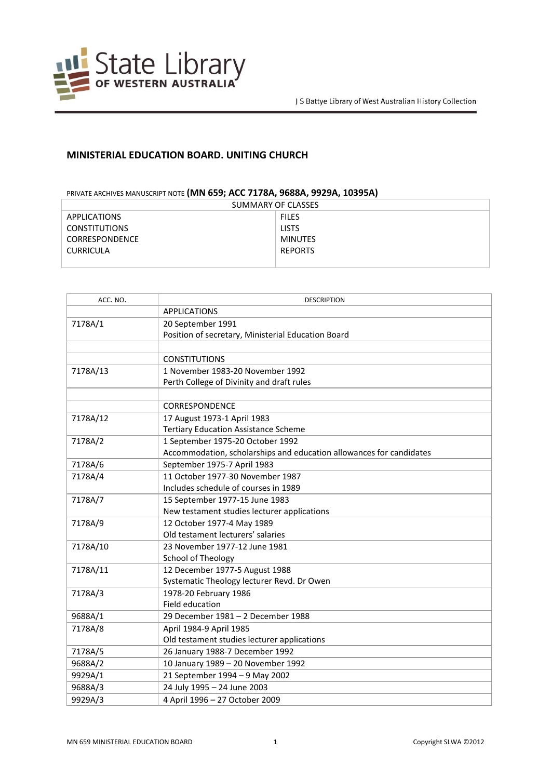

## **MINISTERIAL EDUCATION BOARD. UNITING CHURCH**

## PRIVATE ARCHIVES MANUSCRIPT NOTE **(MN 659; ACC 7178A, 9688A, 9929A, 10395A)**

| SUMMARY OF CLASSES   |                |  |
|----------------------|----------------|--|
| <b>APPLICATIONS</b>  | <b>FILES</b>   |  |
| <b>CONSTITUTIONS</b> | <b>LISTS</b>   |  |
| CORRESPONDENCE       | <b>MINUTES</b> |  |
| <b>CURRICULA</b>     | <b>REPORTS</b> |  |
|                      |                |  |

| ACC. NO. | <b>DESCRIPTION</b>                                                  |
|----------|---------------------------------------------------------------------|
|          | <b>APPLICATIONS</b>                                                 |
| 7178A/1  | 20 September 1991                                                   |
|          | Position of secretary, Ministerial Education Board                  |
|          |                                                                     |
|          | <b>CONSTITUTIONS</b>                                                |
| 7178A/13 | 1 November 1983-20 November 1992                                    |
|          | Perth College of Divinity and draft rules                           |
|          |                                                                     |
|          | CORRESPONDENCE                                                      |
| 7178A/12 | 17 August 1973-1 April 1983                                         |
|          | <b>Tertiary Education Assistance Scheme</b>                         |
| 7178A/2  | 1 September 1975-20 October 1992                                    |
|          | Accommodation, scholarships and education allowances for candidates |
| 7178A/6  | September 1975-7 April 1983                                         |
| 7178A/4  | 11 October 1977-30 November 1987                                    |
|          | Includes schedule of courses in 1989                                |
| 7178A/7  | 15 September 1977-15 June 1983                                      |
|          | New testament studies lecturer applications                         |
| 7178A/9  | 12 October 1977-4 May 1989                                          |
|          | Old testament lecturers' salaries                                   |
| 7178A/10 | 23 November 1977-12 June 1981                                       |
|          | School of Theology                                                  |
| 7178A/11 | 12 December 1977-5 August 1988                                      |
|          | Systematic Theology lecturer Revd. Dr Owen                          |
| 7178A/3  | 1978-20 February 1986                                               |
|          | Field education                                                     |
| 9688A/1  | 29 December 1981 - 2 December 1988                                  |
| 7178A/8  | April 1984-9 April 1985                                             |
|          | Old testament studies lecturer applications                         |
| 7178A/5  | 26 January 1988-7 December 1992                                     |
| 9688A/2  | 10 January 1989 - 20 November 1992                                  |
| 9929A/1  | 21 September 1994 - 9 May 2002                                      |
| 9688A/3  | 24 July 1995 - 24 June 2003                                         |
| 9929A/3  | 4 April 1996 - 27 October 2009                                      |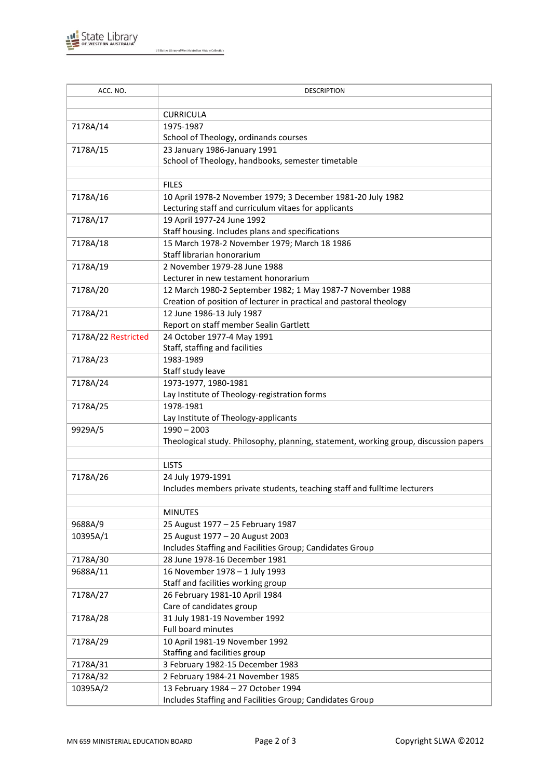

J S Battye Library of West Australian History Collection

| ACC. NO.            | <b>DESCRIPTION</b>                                                                   |
|---------------------|--------------------------------------------------------------------------------------|
|                     |                                                                                      |
|                     | <b>CURRICULA</b>                                                                     |
| 7178A/14            | 1975-1987                                                                            |
|                     | School of Theology, ordinands courses                                                |
| 7178A/15            | 23 January 1986-January 1991                                                         |
|                     | School of Theology, handbooks, semester timetable                                    |
|                     |                                                                                      |
|                     | <b>FILES</b>                                                                         |
| 7178A/16            | 10 April 1978-2 November 1979; 3 December 1981-20 July 1982                          |
|                     | Lecturing staff and curriculum vitaes for applicants                                 |
| 7178A/17            | 19 April 1977-24 June 1992                                                           |
|                     | Staff housing. Includes plans and specifications                                     |
| 7178A/18            | 15 March 1978-2 November 1979; March 18 1986                                         |
|                     | Staff librarian honorarium                                                           |
| 7178A/19            | 2 November 1979-28 June 1988                                                         |
|                     | Lecturer in new testament honorarium                                                 |
| 7178A/20            | 12 March 1980-2 September 1982; 1 May 1987-7 November 1988                           |
|                     | Creation of position of lecturer in practical and pastoral theology                  |
| 7178A/21            | 12 June 1986-13 July 1987<br>Report on staff member Sealin Gartlett                  |
| 7178A/22 Restricted | 24 October 1977-4 May 1991                                                           |
|                     | Staff, staffing and facilities                                                       |
| 7178A/23            | 1983-1989                                                                            |
|                     | Staff study leave                                                                    |
| 7178A/24            | 1973-1977, 1980-1981                                                                 |
|                     | Lay Institute of Theology-registration forms                                         |
| 7178A/25            | 1978-1981                                                                            |
|                     | Lay Institute of Theology-applicants                                                 |
| 9929A/5             | $1990 - 2003$                                                                        |
|                     | Theological study. Philosophy, planning, statement, working group, discussion papers |
|                     |                                                                                      |
|                     | <b>LISTS</b>                                                                         |
| 7178A/26            | 24 July 1979-1991                                                                    |
|                     | Includes members private students, teaching staff and fulltime lecturers             |
|                     |                                                                                      |
|                     | <b>MINUTES</b>                                                                       |
| 9688A/9             | 25 August 1977 - 25 February 1987                                                    |
| 10395A/1            | 25 August 1977 - 20 August 2003                                                      |
|                     | Includes Staffing and Facilities Group; Candidates Group                             |
| 7178A/30            | 28 June 1978-16 December 1981                                                        |
| 9688A/11            | 16 November 1978 - 1 July 1993                                                       |
|                     | Staff and facilities working group                                                   |
| 7178A/27            | 26 February 1981-10 April 1984                                                       |
|                     | Care of candidates group                                                             |
| 7178A/28            | 31 July 1981-19 November 1992                                                        |
|                     | Full board minutes                                                                   |
| 7178A/29            | 10 April 1981-19 November 1992                                                       |
|                     | Staffing and facilities group                                                        |
| 7178A/31            | 3 February 1982-15 December 1983                                                     |
| 7178A/32            | 2 February 1984-21 November 1985                                                     |
| 10395A/2            | 13 February 1984 - 27 October 1994                                                   |
|                     | Includes Staffing and Facilities Group; Candidates Group                             |